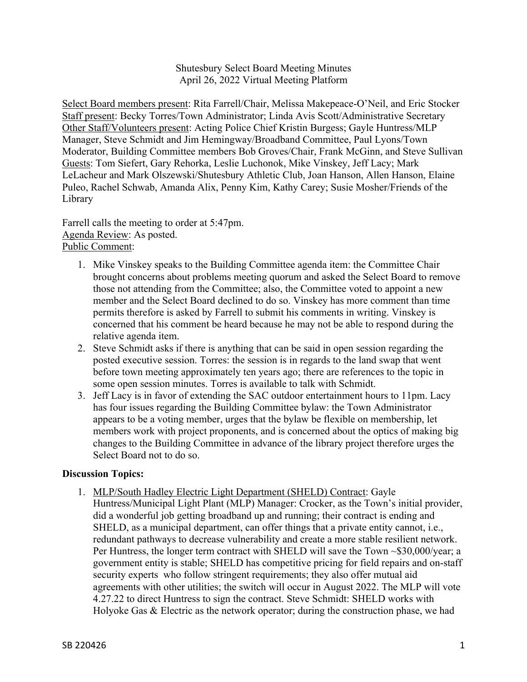Shutesbury Select Board Meeting Minutes April 26, 2022 Virtual Meeting Platform

Select Board members present: Rita Farrell/Chair, Melissa Makepeace-O'Neil, and Eric Stocker Staff present: Becky Torres/Town Administrator; Linda Avis Scott/Administrative Secretary Other Staff/Volunteers present: Acting Police Chief Kristin Burgess; Gayle Huntress/MLP Manager, Steve Schmidt and Jim Hemingway/Broadband Committee, Paul Lyons/Town Moderator, Building Committee members Bob Groves/Chair, Frank McGinn, and Steve Sullivan Guests: Tom Siefert, Gary Rehorka, Leslie Luchonok, Mike Vinskey, Jeff Lacy; Mark LeLacheur and Mark Olszewski/Shutesbury Athletic Club, Joan Hanson, Allen Hanson, Elaine Puleo, Rachel Schwab, Amanda Alix, Penny Kim, Kathy Carey; Susie Mosher/Friends of the Library

Farrell calls the meeting to order at 5:47pm. Agenda Review: As posted. Public Comment:

- 1. Mike Vinskey speaks to the Building Committee agenda item: the Committee Chair brought concerns about problems meeting quorum and asked the Select Board to remove those not attending from the Committee; also, the Committee voted to appoint a new member and the Select Board declined to do so. Vinskey has more comment than time permits therefore is asked by Farrell to submit his comments in writing. Vinskey is concerned that his comment be heard because he may not be able to respond during the relative agenda item.
- 2. Steve Schmidt asks if there is anything that can be said in open session regarding the posted executive session. Torres: the session is in regards to the land swap that went before town meeting approximately ten years ago; there are references to the topic in some open session minutes. Torres is available to talk with Schmidt.
- 3. Jeff Lacy is in favor of extending the SAC outdoor entertainment hours to 11pm. Lacy has four issues regarding the Building Committee bylaw: the Town Administrator appears to be a voting member, urges that the bylaw be flexible on membership, let members work with project proponents, and is concerned about the optics of making big changes to the Building Committee in advance of the library project therefore urges the Select Board not to do so.

## **Discussion Topics:**

1. MLP/South Hadley Electric Light Department (SHELD) Contract: Gayle Huntress/Municipal Light Plant (MLP) Manager: Crocker, as the Town's initial provider, did a wonderful job getting broadband up and running; their contract is ending and SHELD, as a municipal department, can offer things that a private entity cannot, i.e., redundant pathways to decrease vulnerability and create a more stable resilient network. Per Huntress, the longer term contract with SHELD will save the Town ~\$30,000/year; a government entity is stable; SHELD has competitive pricing for field repairs and on-staff security experts who follow stringent requirements; they also offer mutual aid agreements with other utilities; the switch will occur in August 2022. The MLP will vote 4.27.22 to direct Huntress to sign the contract. Steve Schmidt: SHELD works with Holyoke Gas & Electric as the network operator; during the construction phase, we had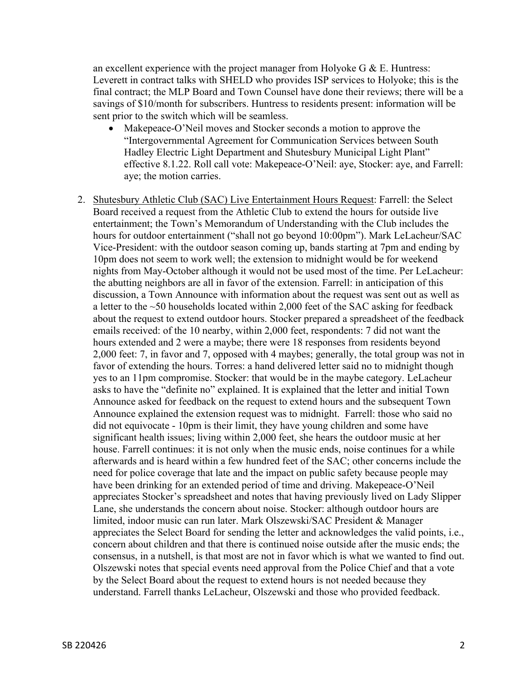an excellent experience with the project manager from Holyoke G  $&\&$  E. Huntress: Leverett in contract talks with SHELD who provides ISP services to Holyoke; this is the final contract; the MLP Board and Town Counsel have done their reviews; there will be a savings of \$10/month for subscribers. Huntress to residents present: information will be sent prior to the switch which will be seamless.

- Makepeace-O'Neil moves and Stocker seconds a motion to approve the "Intergovernmental Agreement for Communication Services between South Hadley Electric Light Department and Shutesbury Municipal Light Plant" effective 8.1.22. Roll call vote: Makepeace-O'Neil: aye, Stocker: aye, and Farrell: aye; the motion carries.
- 2. Shutesbury Athletic Club (SAC) Live Entertainment Hours Request: Farrell: the Select Board received a request from the Athletic Club to extend the hours for outside live entertainment; the Town's Memorandum of Understanding with the Club includes the hours for outdoor entertainment ("shall not go beyond 10:00pm"). Mark LeLacheur/SAC Vice-President: with the outdoor season coming up, bands starting at 7pm and ending by 10pm does not seem to work well; the extension to midnight would be for weekend nights from May-October although it would not be used most of the time. Per LeLacheur: the abutting neighbors are all in favor of the extension. Farrell: in anticipation of this discussion, a Town Announce with information about the request was sent out as well as a letter to the  $\sim$ 50 households located within 2,000 feet of the SAC asking for feedback about the request to extend outdoor hours. Stocker prepared a spreadsheet of the feedback emails received: of the 10 nearby, within 2,000 feet, respondents: 7 did not want the hours extended and 2 were a maybe; there were 18 responses from residents beyond 2,000 feet: 7, in favor and 7, opposed with 4 maybes; generally, the total group was not in favor of extending the hours. Torres: a hand delivered letter said no to midnight though yes to an 11pm compromise. Stocker: that would be in the maybe category. LeLacheur asks to have the "definite no" explained. It is explained that the letter and initial Town Announce asked for feedback on the request to extend hours and the subsequent Town Announce explained the extension request was to midnight. Farrell: those who said no did not equivocate - 10pm is their limit, they have young children and some have significant health issues; living within 2,000 feet, she hears the outdoor music at her house. Farrell continues: it is not only when the music ends, noise continues for a while afterwards and is heard within a few hundred feet of the SAC; other concerns include the need for police coverage that late and the impact on public safety because people may have been drinking for an extended period of time and driving. Makepeace-O'Neil appreciates Stocker's spreadsheet and notes that having previously lived on Lady Slipper Lane, she understands the concern about noise. Stocker: although outdoor hours are limited, indoor music can run later. Mark Olszewski/SAC President & Manager appreciates the Select Board for sending the letter and acknowledges the valid points, i.e., concern about children and that there is continued noise outside after the music ends; the consensus, in a nutshell, is that most are not in favor which is what we wanted to find out. Olszewski notes that special events need approval from the Police Chief and that a vote by the Select Board about the request to extend hours is not needed because they understand. Farrell thanks LeLacheur, Olszewski and those who provided feedback.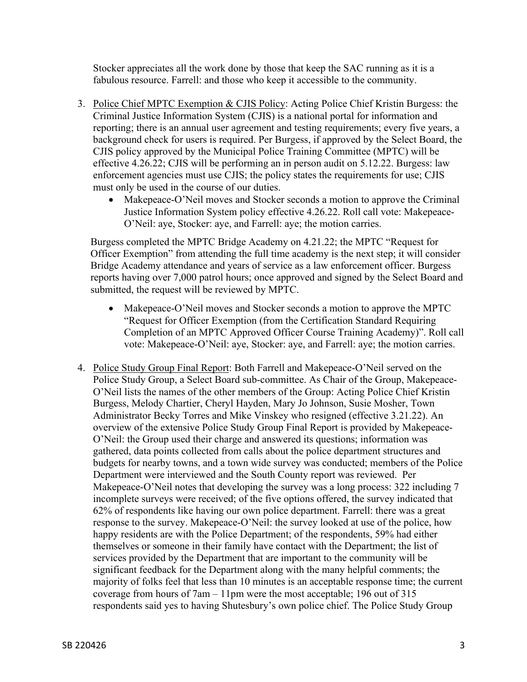Stocker appreciates all the work done by those that keep the SAC running as it is a fabulous resource. Farrell: and those who keep it accessible to the community.

- 3. Police Chief MPTC Exemption & CJIS Policy: Acting Police Chief Kristin Burgess: the Criminal Justice Information System (CJIS) is a national portal for information and reporting; there is an annual user agreement and testing requirements; every five years, a background check for users is required. Per Burgess, if approved by the Select Board, the CJIS policy approved by the Municipal Police Training Committee (MPTC) will be effective 4.26.22; CJIS will be performing an in person audit on 5.12.22. Burgess: law enforcement agencies must use CJIS; the policy states the requirements for use; CJIS must only be used in the course of our duties.
	- Makepeace-O'Neil moves and Stocker seconds a motion to approve the Criminal Justice Information System policy effective 4.26.22. Roll call vote: Makepeace-O'Neil: aye, Stocker: aye, and Farrell: aye; the motion carries.

Burgess completed the MPTC Bridge Academy on 4.21.22; the MPTC "Request for Officer Exemption" from attending the full time academy is the next step; it will consider Bridge Academy attendance and years of service as a law enforcement officer. Burgess reports having over 7,000 patrol hours; once approved and signed by the Select Board and submitted, the request will be reviewed by MPTC.

- Makepeace-O'Neil moves and Stocker seconds a motion to approve the MPTC "Request for Officer Exemption (from the Certification Standard Requiring Completion of an MPTC Approved Officer Course Training Academy)". Roll call vote: Makepeace-O'Neil: aye, Stocker: aye, and Farrell: aye; the motion carries.
- 4. Police Study Group Final Report: Both Farrell and Makepeace-O'Neil served on the Police Study Group, a Select Board sub-committee. As Chair of the Group, Makepeace-O'Neil lists the names of the other members of the Group: Acting Police Chief Kristin Burgess, Melody Chartier, Cheryl Hayden, Mary Jo Johnson, Susie Mosher, Town Administrator Becky Torres and Mike Vinskey who resigned (effective 3.21.22). An overview of the extensive Police Study Group Final Report is provided by Makepeace-O'Neil: the Group used their charge and answered its questions; information was gathered, data points collected from calls about the police department structures and budgets for nearby towns, and a town wide survey was conducted; members of the Police Department were interviewed and the South County report was reviewed. Per Makepeace-O'Neil notes that developing the survey was a long process: 322 including 7 incomplete surveys were received; of the five options offered, the survey indicated that 62% of respondents like having our own police department. Farrell: there was a great response to the survey. Makepeace-O'Neil: the survey looked at use of the police, how happy residents are with the Police Department; of the respondents, 59% had either themselves or someone in their family have contact with the Department; the list of services provided by the Department that are important to the community will be significant feedback for the Department along with the many helpful comments; the majority of folks feel that less than 10 minutes is an acceptable response time; the current coverage from hours of 7am – 11pm were the most acceptable; 196 out of 315 respondents said yes to having Shutesbury's own police chief. The Police Study Group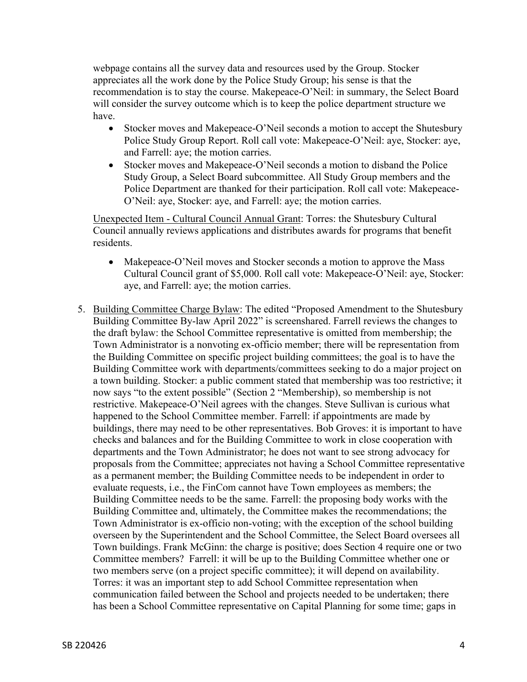webpage contains all the survey data and resources used by the Group. Stocker appreciates all the work done by the Police Study Group; his sense is that the recommendation is to stay the course. Makepeace-O'Neil: in summary, the Select Board will consider the survey outcome which is to keep the police department structure we have.

- Stocker moves and Makepeace-O'Neil seconds a motion to accept the Shutesbury Police Study Group Report. Roll call vote: Makepeace-O'Neil: aye, Stocker: aye, and Farrell: aye; the motion carries.
- Stocker moves and Makepeace-O'Neil seconds a motion to disband the Police Study Group, a Select Board subcommittee. All Study Group members and the Police Department are thanked for their participation. Roll call vote: Makepeace-O'Neil: aye, Stocker: aye, and Farrell: aye; the motion carries.

Unexpected Item - Cultural Council Annual Grant: Torres: the Shutesbury Cultural Council annually reviews applications and distributes awards for programs that benefit residents.

- Makepeace-O'Neil moves and Stocker seconds a motion to approve the Mass Cultural Council grant of \$5,000. Roll call vote: Makepeace-O'Neil: aye, Stocker: aye, and Farrell: aye; the motion carries.
- 5. Building Committee Charge Bylaw: The edited "Proposed Amendment to the Shutesbury Building Committee By-law April 2022" is screenshared. Farrell reviews the changes to the draft bylaw: the School Committee representative is omitted from membership; the Town Administrator is a nonvoting ex-officio member; there will be representation from the Building Committee on specific project building committees; the goal is to have the Building Committee work with departments/committees seeking to do a major project on a town building. Stocker: a public comment stated that membership was too restrictive; it now says "to the extent possible" (Section 2 "Membership), so membership is not restrictive. Makepeace-O'Neil agrees with the changes. Steve Sullivan is curious what happened to the School Committee member. Farrell: if appointments are made by buildings, there may need to be other representatives. Bob Groves: it is important to have checks and balances and for the Building Committee to work in close cooperation with departments and the Town Administrator; he does not want to see strong advocacy for proposals from the Committee; appreciates not having a School Committee representative as a permanent member; the Building Committee needs to be independent in order to evaluate requests, i.e., the FinCom cannot have Town employees as members; the Building Committee needs to be the same. Farrell: the proposing body works with the Building Committee and, ultimately, the Committee makes the recommendations; the Town Administrator is ex-officio non-voting; with the exception of the school building overseen by the Superintendent and the School Committee, the Select Board oversees all Town buildings. Frank McGinn: the charge is positive; does Section 4 require one or two Committee members? Farrell: it will be up to the Building Committee whether one or two members serve (on a project specific committee); it will depend on availability. Torres: it was an important step to add School Committee representation when communication failed between the School and projects needed to be undertaken; there has been a School Committee representative on Capital Planning for some time; gaps in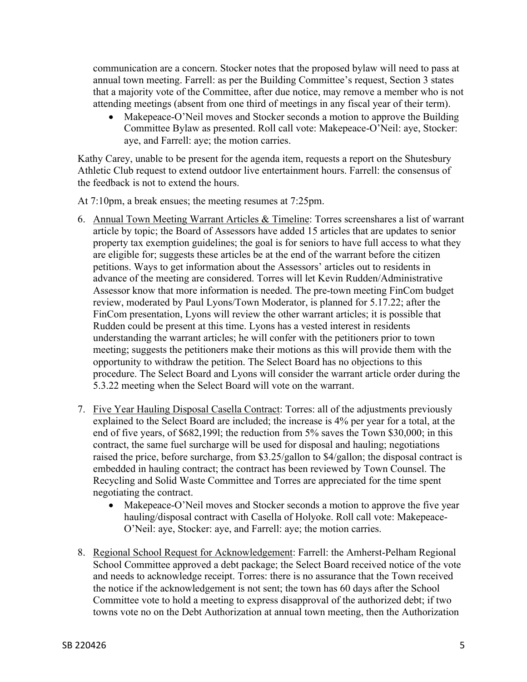communication are a concern. Stocker notes that the proposed bylaw will need to pass at annual town meeting. Farrell: as per the Building Committee's request, Section 3 states that a majority vote of the Committee, after due notice, may remove a member who is not attending meetings (absent from one third of meetings in any fiscal year of their term).

• Makepeace-O'Neil moves and Stocker seconds a motion to approve the Building Committee Bylaw as presented. Roll call vote: Makepeace-O'Neil: aye, Stocker: aye, and Farrell: aye; the motion carries.

Kathy Carey, unable to be present for the agenda item, requests a report on the Shutesbury Athletic Club request to extend outdoor live entertainment hours. Farrell: the consensus of the feedback is not to extend the hours.

At 7:10pm, a break ensues; the meeting resumes at 7:25pm.

- 6. Annual Town Meeting Warrant Articles & Timeline: Torres screenshares a list of warrant article by topic; the Board of Assessors have added 15 articles that are updates to senior property tax exemption guidelines; the goal is for seniors to have full access to what they are eligible for; suggests these articles be at the end of the warrant before the citizen petitions. Ways to get information about the Assessors' articles out to residents in advance of the meeting are considered. Torres will let Kevin Rudden/Administrative Assessor know that more information is needed. The pre-town meeting FinCom budget review, moderated by Paul Lyons/Town Moderator, is planned for 5.17.22; after the FinCom presentation, Lyons will review the other warrant articles; it is possible that Rudden could be present at this time. Lyons has a vested interest in residents understanding the warrant articles; he will confer with the petitioners prior to town meeting; suggests the petitioners make their motions as this will provide them with the opportunity to withdraw the petition. The Select Board has no objections to this procedure. The Select Board and Lyons will consider the warrant article order during the 5.3.22 meeting when the Select Board will vote on the warrant.
- 7. Five Year Hauling Disposal Casella Contract: Torres: all of the adjustments previously explained to the Select Board are included; the increase is 4% per year for a total, at the end of five years, of \$682,199l; the reduction from 5% saves the Town \$30,000; in this contract, the same fuel surcharge will be used for disposal and hauling; negotiations raised the price, before surcharge, from \$3.25/gallon to \$4/gallon; the disposal contract is embedded in hauling contract; the contract has been reviewed by Town Counsel. The Recycling and Solid Waste Committee and Torres are appreciated for the time spent negotiating the contract.
	- Makepeace-O'Neil moves and Stocker seconds a motion to approve the five year hauling/disposal contract with Casella of Holyoke. Roll call vote: Makepeace-O'Neil: aye, Stocker: aye, and Farrell: aye; the motion carries.
- 8. Regional School Request for Acknowledgement: Farrell: the Amherst-Pelham Regional School Committee approved a debt package; the Select Board received notice of the vote and needs to acknowledge receipt. Torres: there is no assurance that the Town received the notice if the acknowledgement is not sent; the town has 60 days after the School Committee vote to hold a meeting to express disapproval of the authorized debt; if two towns vote no on the Debt Authorization at annual town meeting, then the Authorization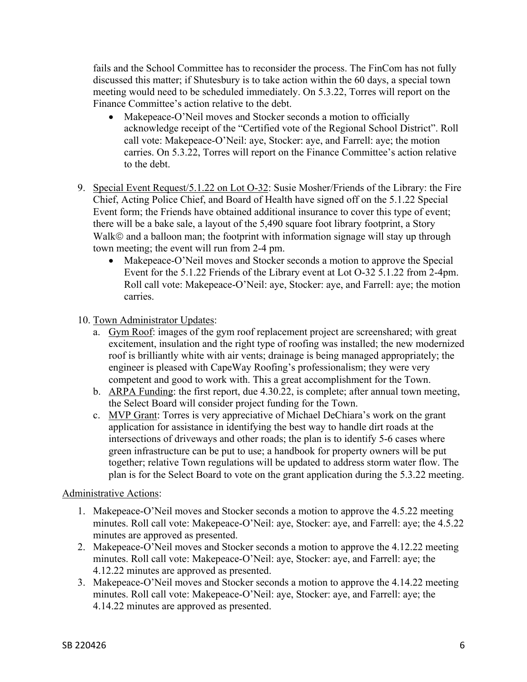fails and the School Committee has to reconsider the process. The FinCom has not fully discussed this matter; if Shutesbury is to take action within the 60 days, a special town meeting would need to be scheduled immediately. On 5.3.22, Torres will report on the Finance Committee's action relative to the debt.

- Makepeace-O'Neil moves and Stocker seconds a motion to officially acknowledge receipt of the "Certified vote of the Regional School District". Roll call vote: Makepeace-O'Neil: aye, Stocker: aye, and Farrell: aye; the motion carries. On 5.3.22, Torres will report on the Finance Committee's action relative to the debt.
- 9. Special Event Request/5.1.22 on Lot O-32: Susie Mosher/Friends of the Library: the Fire Chief, Acting Police Chief, and Board of Health have signed off on the 5.1.22 Special Event form; the Friends have obtained additional insurance to cover this type of event; there will be a bake sale, a layout of the 5,490 square foot library footprint, a Story Walk© and a balloon man; the footprint with information signage will stay up through town meeting; the event will run from 2-4 pm.
	- Makepeace-O'Neil moves and Stocker seconds a motion to approve the Special Event for the 5.1.22 Friends of the Library event at Lot O-32 5.1.22 from 2-4pm. Roll call vote: Makepeace-O'Neil: aye, Stocker: aye, and Farrell: aye; the motion carries.
- 10. Town Administrator Updates:
	- a. Gym Roof: images of the gym roof replacement project are screenshared; with great excitement, insulation and the right type of roofing was installed; the new modernized roof is brilliantly white with air vents; drainage is being managed appropriately; the engineer is pleased with CapeWay Roofing's professionalism; they were very competent and good to work with. This a great accomplishment for the Town.
	- b. ARPA Funding: the first report, due 4.30.22, is complete; after annual town meeting, the Select Board will consider project funding for the Town.
	- c. MVP Grant: Torres is very appreciative of Michael DeChiara's work on the grant application for assistance in identifying the best way to handle dirt roads at the intersections of driveways and other roads; the plan is to identify 5-6 cases where green infrastructure can be put to use; a handbook for property owners will be put together; relative Town regulations will be updated to address storm water flow. The plan is for the Select Board to vote on the grant application during the 5.3.22 meeting.

## Administrative Actions:

- 1. Makepeace-O'Neil moves and Stocker seconds a motion to approve the 4.5.22 meeting minutes. Roll call vote: Makepeace-O'Neil: aye, Stocker: aye, and Farrell: aye; the 4.5.22 minutes are approved as presented.
- 2. Makepeace-O'Neil moves and Stocker seconds a motion to approve the 4.12.22 meeting minutes. Roll call vote: Makepeace-O'Neil: aye, Stocker: aye, and Farrell: aye; the 4.12.22 minutes are approved as presented.
- 3. Makepeace-O'Neil moves and Stocker seconds a motion to approve the 4.14.22 meeting minutes. Roll call vote: Makepeace-O'Neil: aye, Stocker: aye, and Farrell: aye; the 4.14.22 minutes are approved as presented.